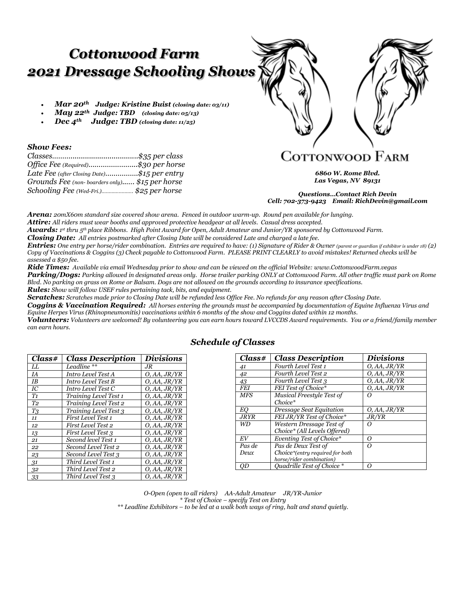# *Cottonwood Farm 2021 Dressage Schooling Shows*

- *Mar 20th Judge: Kristine Buist (closing date: 03/11)*
- *May 22th Judge: TBD (closing date: 05/13)*
- *Dec 4th Judge: TBD (closing date: 11/25)*

#### *Show Fees:*

| Office Fee (Required)\$30 per horse            |
|------------------------------------------------|
| Late Fee (after Closing Date)\$15 per entry    |
| Grounds Fee (non-boarders only) \$15 per horse |
| Schooling Fee (Wed-Fri.)\$25 per horse         |
|                                                |

# Cottonwood Farm

*6860 W. Rome Blvd. Las Vegas, NV 89131*

*Questions…Contact Rich Devin Cell: 702-373-9423 Email: RichDevin@gmail.com*

*Arena: 20mX60m standard size covered show arena. Fenced in outdoor warm-up. Round pen available for lunging. Attire: All riders must wear booths and approved protective headgear at all levels. Casual dress accepted.*

*Awards: 1 st thru 5th place Ribbons. High Point Award for Open, Adult Amateur and Junior/YR sponsored by Cottonwood Farm.*

*Closing Date: All entries postmarked after Closing Date will be considered Late and charged a late fee.*

*Entries:* One entry per horse/rider combination. Entries are required to have: (1) Signature of Rider & Owner (parent or quardian if exhibitor is under 18) (2) *Copy of Vaccinations & Coggins (3) Check payable to Cottonwood Farm. PLEASE PRINT CLEARLY to avoid mistakes! Returned checks will be assessed a \$50 fee.*

*Ride Times: Available via email Wednesday prior to show and can be viewed on the official Website: www.CottonwoodFarm.vegas Parking/Dogs: Parking allowed in designated areas only. Horse trailer parking ONLY at Cottonwood Farm. All other traffic must park on Rome Blvd. No parking on grass on Rome or Balsam. Dogs are not allowed on the grounds according to insurance specifications. Rules: Show will follow USEF rules pertaining tack, bits, and equipment.*

*Scratches: Scratches made prior to Closing Date will be refunded less Office Fee. No refunds for any reason after Closing Date.* 

*Coggins & Vaccination Required: All horses entering the grounds must be accompanied by documentation of Equine Influenza Virus and Equine Herpes Virus (Rhinopneumonitis) vaccinations within 6 months of the show and Coggins dated within 12 months.*

*Volunteers: Volunteers are welcomed! By volunteering you can earn hours toward LVCCDS Award requirements. You or a friend/family member can earn hours.* 

| Class#         | <b>Class Description</b> | Divisions    |
|----------------|--------------------------|--------------|
| LL             | Leadline **              | .IR          |
| IA             | Intro Level Test A       | O, AA, JR/YR |
| IB             | Intro Level Test B       | O, AA, JR/YR |
| IC             | Intro Level Test C       | O, AA, JR/YR |
| T1             | Training Level Test 1    | O, AA, JR/YR |
| T <sub>2</sub> | Training Level Test 2    | O, AA, JR/YR |
| T <sub>3</sub> | Training Level Test 3    | O, AA, JR/YR |
| 11             | First Level Test 1       | O, AA, JR/YR |
| 12             | First Level Test 2       | O, AA, JR/YR |
| 13             | First Level Test 3       | O, AA, JR/YR |
| 21             | Second level Test 1      | O, AA, JR/YR |
| 22             | Second Level Test 2      | O, AA, JR/YR |
| 23             | Second Level Test 3      | O, AA, JR/YR |
| 31             | Third Level Test 1       | O, AA, JR/YR |
| 32             | Third Level Test 2       | O, AA, JR/YR |
| 33             | Third Level Test 3       | O, AA, JR/YR |

#### *Schedule of Classes*

| Class#      | <b>Class Description</b>        | <i>Divisions</i> |
|-------------|---------------------------------|------------------|
| 41          | Fourth Level Test 1             | O, AA, JR/YR     |
| 42          | <b>Fourth Level Test 2</b>      | O, AA, JR/YR     |
| 43          | Fourth Level Test 3             | O, AA, JR/YR     |
| <b>FEI</b>  | FEI Test of Choice*             | O, AA, JR/YR     |
| <b>MFS</b>  | Musical Freestyle Test of       | 0                |
|             | $Choice*$                       |                  |
| EΟ          | Dressage Seat Equitation        | O, AA, JR/YR     |
| <b>JRYR</b> | FEI JR/YR Test of Choice*       | J R/Y R          |
| WD          | Western Dressage Test of        | $\epsilon$       |
|             | Choice* (All Levels Offered)    |                  |
| EV          | Eventing Test of Choice*        | Ω                |
| Pas de      | Pas de Deux Test of             | Ω                |
| Deux        | Choice*(entry required for both |                  |
|             | horse/rider combination)        |                  |
| OD          | Ouadrille Test of Choice *      | Ω                |

*O-Open (open to all riders) AA-Adult Amateur JR/YR-Junior \* Test of Choice – specify Test on Entry \*\* Leadline Exhibitors – to be led at a walk both ways of ring, halt and stand quietly.*